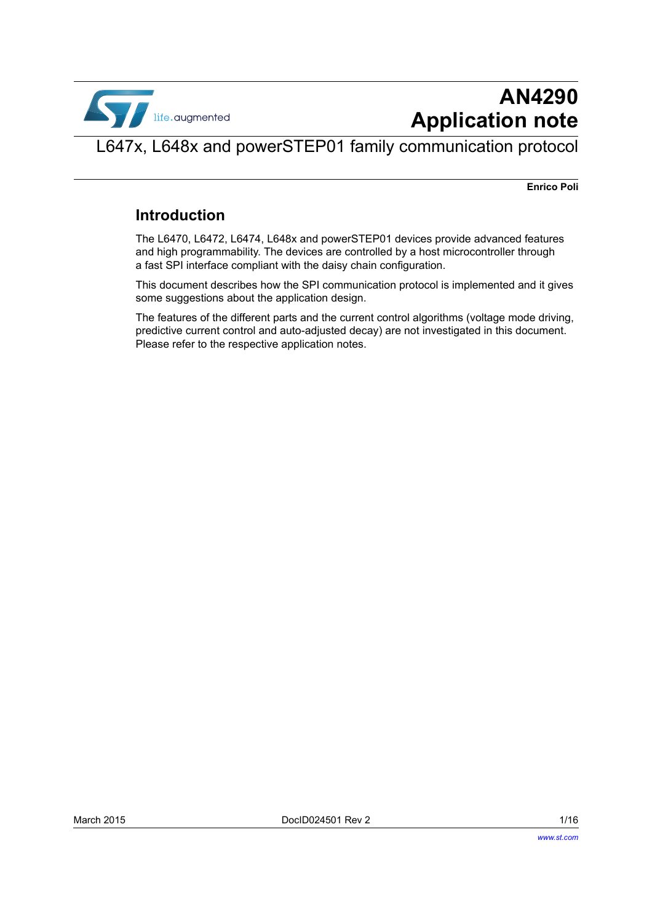

# **AN4290 Application note**

## <span id="page-0-0"></span>L647x, L648x and powerSTEP01 family communication protocol

**Enrico Poli**

### **Introduction**

The L6470, L6472, L6474, L648x and powerSTEP01 devices provide advanced features and high programmability. The devices are controlled by a host microcontroller through a fast SPI interface compliant with the daisy chain configuration.

This document describes how the SPI communication protocol is implemented and it gives some suggestions about the application design.

The features of the different parts and the current control algorithms (voltage mode driving, predictive current control and auto-adjusted decay) are not investigated in this document. Please refer to the respective application notes.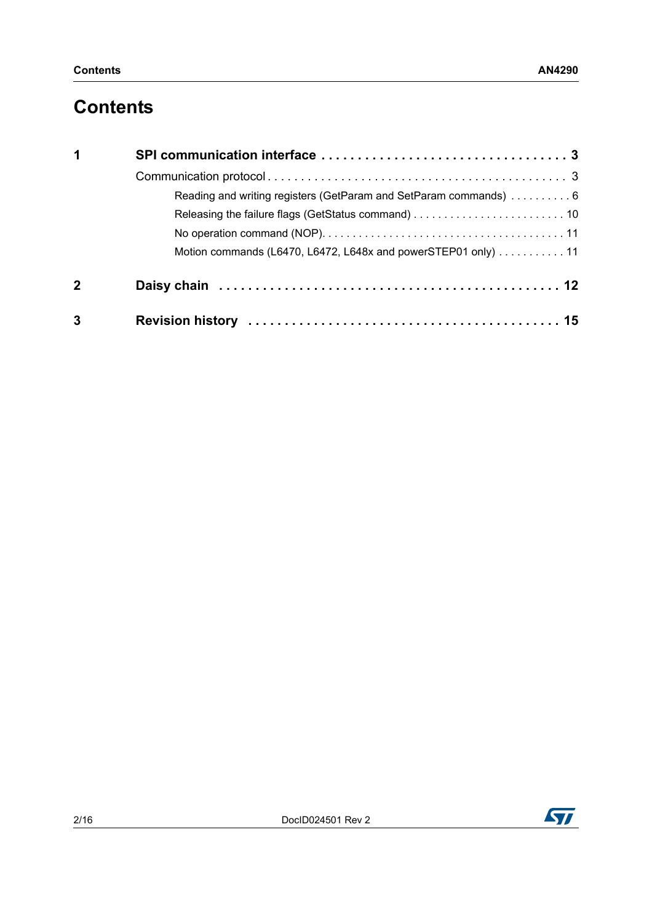## **Contents**

| 1            |                                                                  |
|--------------|------------------------------------------------------------------|
|              |                                                                  |
|              | Reading and writing registers (GetParam and SetParam commands) 6 |
|              |                                                                  |
|              |                                                                  |
|              | Motion commands (L6470, L6472, L648x and powerSTEP01 only) 11    |
| $\mathbf{2}$ |                                                                  |
| 3            |                                                                  |

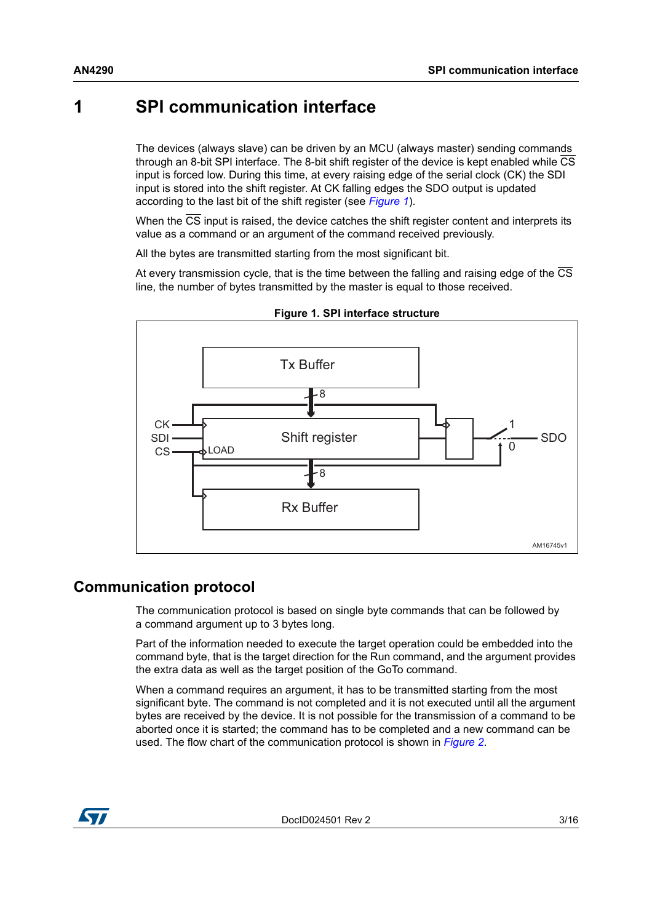### <span id="page-2-0"></span>**1 SPI communication interface**

The devices (always slave) can be driven by an MCU (always master) sending commands through an 8-bit SPI interface. The 8-bit shift register of the device is kept enabled while CS input is forced low. During this time, at every raising edge of the serial clock (CK) the SDI input is stored into the shift register. At CK falling edges the SDO output is updated according to the last bit of the shift register (see *[Figure 1](#page-2-2)*).

When the CS input is raised, the device catches the shift register content and interprets its value as a command or an argument of the command received previously.

All the bytes are transmitted starting from the most significant bit.

At every transmission cycle, that is the time between the falling and raising edge of the CS line, the number of bytes transmitted by the master is equal to those received.

<span id="page-2-2"></span>

**Figure 1. SPI interface structure**

### <span id="page-2-1"></span>**Communication protocol**

The communication protocol is based on single byte commands that can be followed by a command argument up to 3 bytes long.

Part of the information needed to execute the target operation could be embedded into the command byte, that is the target direction for the Run command, and the argument provides the extra data as well as the target position of the GoTo command.

When a command requires an argument, it has to be transmitted starting from the most significant byte. The command is not completed and it is not executed until all the argument bytes are received by the device. It is not possible for the transmission of a command to be aborted once it is started; the command has to be completed and a new command can be used. The flow chart of the communication protocol is shown in *[Figure 2](#page-3-0)*.

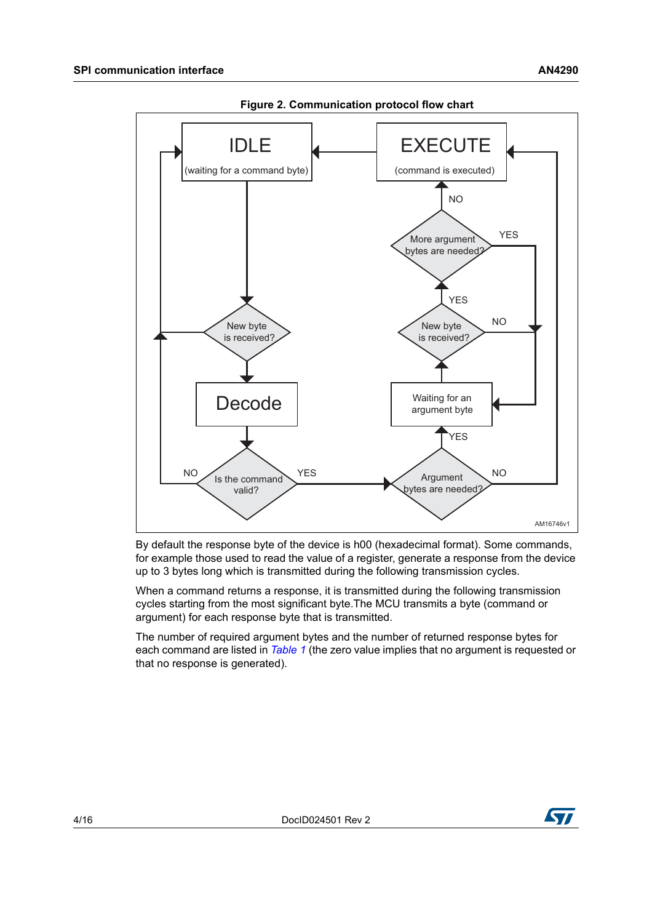<span id="page-3-0"></span>

**Figure 2. Communication protocol flow chart**

By default the response byte of the device is h00 (hexadecimal format). Some commands, for example those used to read the value of a register, generate a response from the device up to 3 bytes long which is transmitted during the following transmission cycles.

When a command returns a response, it is transmitted during the following transmission cycles starting from the most significant byte.The MCU transmits a byte (command or argument) for each response byte that is transmitted.

The number of required argument bytes and the number of returned response bytes for each command are listed in *[Table 1](#page-4-0)* (the zero value implies that no argument is requested or that no response is generated).

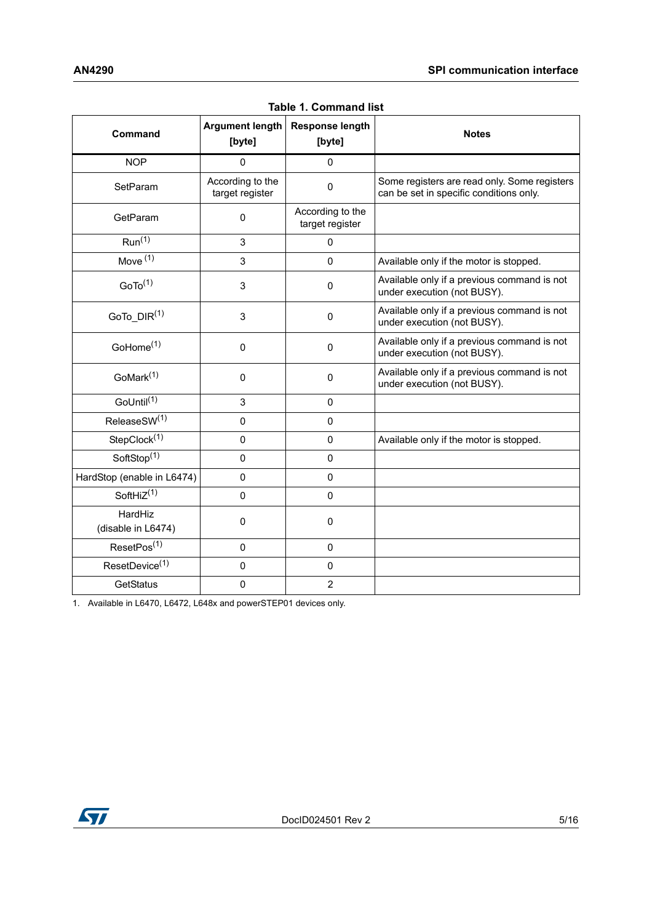<span id="page-4-0"></span>

| Command                       | <b>Argument length</b><br>[byte]    | <b>Response length</b><br>[byte]    | <b>Notes</b>                                                                            |
|-------------------------------|-------------------------------------|-------------------------------------|-----------------------------------------------------------------------------------------|
| <b>NOP</b>                    | 0                                   | 0                                   |                                                                                         |
| SetParam                      | According to the<br>target register | $\mathbf{0}$                        | Some registers are read only. Some registers<br>can be set in specific conditions only. |
| GetParam                      | $\mathbf 0$                         | According to the<br>target register |                                                                                         |
| Run <sup>(1)</sup>            | 3                                   | 0                                   |                                                                                         |
| Move $(1)$                    | 3                                   | $\Omega$                            | Available only if the motor is stopped.                                                 |
| GoTo <sup>(1)</sup>           | 3                                   | 0                                   | Available only if a previous command is not<br>under execution (not BUSY).              |
| GoTo_DIR <sup>(1)</sup>       | 3                                   | 0                                   | Available only if a previous command is not<br>under execution (not BUSY).              |
| GoHome <sup>(1)</sup>         | $\mathbf 0$                         | 0                                   | Available only if a previous command is not<br>under execution (not BUSY).              |
| GoMark <sup>(1)</sup>         | $\mathbf 0$                         | 0                                   | Available only if a previous command is not<br>under execution (not BUSY).              |
| GoUntil <sup>(1)</sup>        | 3                                   | $\Omega$                            |                                                                                         |
| ReleaseSW(1)                  | $\Omega$                            | $\Omega$                            |                                                                                         |
| StepClock <sup>(1)</sup>      | $\Omega$                            | $\Omega$                            | Available only if the motor is stopped.                                                 |
| SoftStop <sup>(1)</sup>       | $\Omega$                            | $\Omega$                            |                                                                                         |
| HardStop (enable in L6474)    | $\Omega$                            | $\Omega$                            |                                                                                         |
| SoftHi $\overline{Z^{(1)}}$   | $\mathbf 0$                         | 0                                   |                                                                                         |
| HardHiz<br>(disable in L6474) | $\mathbf 0$                         | 0                                   |                                                                                         |
| ResetPos <sup>(1)</sup>       | $\mathbf 0$                         | 0                                   |                                                                                         |
| ResetDevice <sup>(1)</sup>    | 0                                   | 0                                   |                                                                                         |
| GetStatus                     | $\mathbf 0$                         | $\overline{2}$                      |                                                                                         |

**Table 1. Command list**

1. Available in L6470, L6472, L648x and powerSTEP01 devices only.

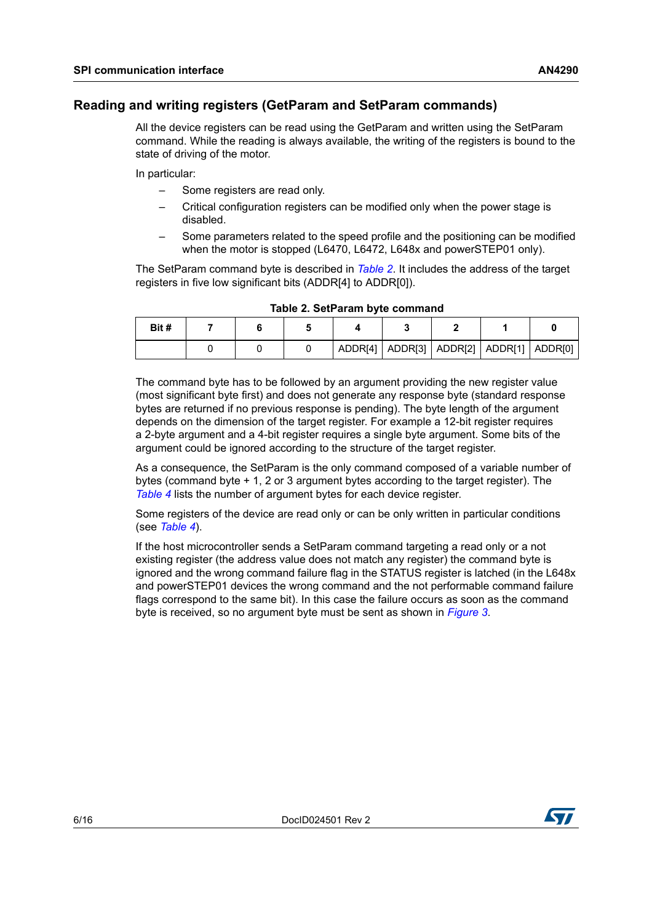#### <span id="page-5-0"></span>**Reading and writing registers (GetParam and SetParam commands)**

All the device registers can be read using the GetParam and written using the SetParam command. While the reading is always available, the writing of the registers is bound to the state of driving of the motor.

In particular:

- Some registers are read only.
- Critical configuration registers can be modified only when the power stage is disabled.
- Some parameters related to the speed profile and the positioning can be modified when the motor is stopped (L6470, L6472, L648x and powerSTEP01 only).

The SetParam command byte is described in *[Table 2](#page-5-1)*. It includes the address of the target registers in five low significant bits (ADDR[4] to ADDR[0]).

<span id="page-5-1"></span>

| Bit # |  |  |  |                                                 |  |
|-------|--|--|--|-------------------------------------------------|--|
|       |  |  |  | ADDR[4]   ADDR[3]   ADDR[2]   ADDR[1]   ADDR[0] |  |

|  | Table 2. SetParam byte command |  |
|--|--------------------------------|--|
|  |                                |  |

The command byte has to be followed by an argument providing the new register value (most significant byte first) and does not generate any response byte (standard response bytes are returned if no previous response is pending). The byte length of the argument depends on the dimension of the target register. For example a 12-bit register requires a 2-byte argument and a 4-bit register requires a single byte argument. Some bits of the argument could be ignored according to the structure of the target register.

As a consequence, the SetParam is the only command composed of a variable number of bytes (command byte + 1, 2 or 3 argument bytes according to the target register). The *[Table 4](#page-7-0)* lists the number of argument bytes for each device register.

Some registers of the device are read only or can be only written in particular conditions (see *[Table 4](#page-7-0)*).

If the host microcontroller sends a SetParam command targeting a read only or a not existing register (the address value does not match any register) the command byte is ignored and the wrong command failure flag in the STATUS register is latched (in the L648x and powerSTEP01 devices the wrong command and the not performable command failure flags correspond to the same bit). In this case the failure occurs as soon as the command byte is received, so no argument byte must be sent as shown in *[Figure 3](#page-6-0)*.

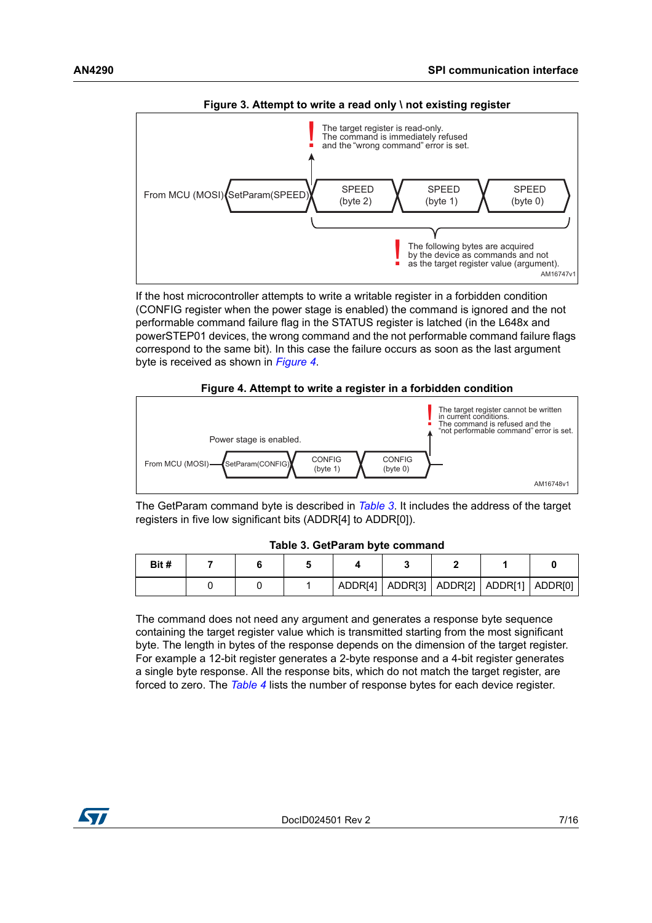<span id="page-6-0"></span>

If the host microcontroller attempts to write a writable register in a forbidden condition (CONFIG register when the power stage is enabled) the command is ignored and the not performable command failure flag in the STATUS register is latched (in the L648x and powerSTEP01 devices, the wrong command and the not performable command failure flags correspond to the same bit). In this case the failure occurs as soon as the last argument byte is received as shown in *[Figure 4](#page-6-1)*.



<span id="page-6-1"></span>

The GetParam command byte is described in *[Table 3](#page-6-2)*. It includes the address of the target registers in five low significant bits (ADDR[4] to ADDR[0]).

|  | Table 3. GetParam byte command |  |  |
|--|--------------------------------|--|--|
|--|--------------------------------|--|--|

<span id="page-6-2"></span>

| Bit # |  |  |                                                 |  |  |
|-------|--|--|-------------------------------------------------|--|--|
|       |  |  | ADDR[4]   ADDR[3]   ADDR[2]   ADDR[1]   ADDR[0] |  |  |

The command does not need any argument and generates a response byte sequence containing the target register value which is transmitted starting from the most significant byte. The length in bytes of the response depends on the dimension of the target register. For example a 12-bit register generates a 2-byte response and a 4-bit register generates a single byte response. All the response bits, which do not match the target register, are forced to zero. The *[Table 4](#page-7-0)* lists the number of response bytes for each device register.

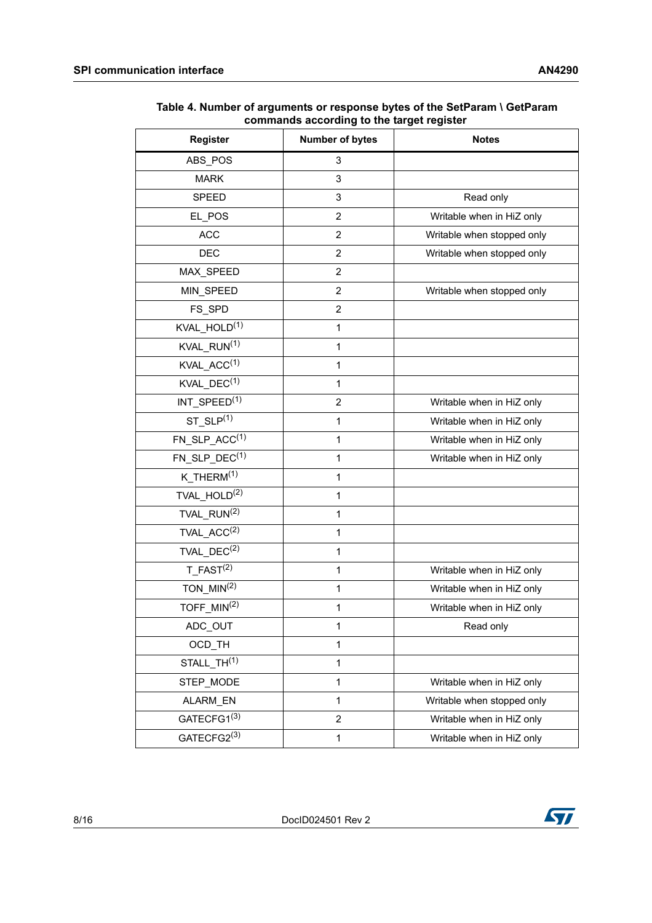| <b>Register</b>          | <b>Number of bytes</b> | <b>Notes</b>               |
|--------------------------|------------------------|----------------------------|
| ABS POS                  | 3                      |                            |
| <b>MARK</b>              | 3                      |                            |
| <b>SPEED</b>             | 3                      | Read only                  |
| EL_POS                   | $\overline{2}$         | Writable when in HiZ only  |
| <b>ACC</b>               | $\overline{2}$         | Writable when stopped only |
| <b>DEC</b>               | $\overline{2}$         | Writable when stopped only |
| MAX_SPEED                | 2                      |                            |
| MIN_SPEED                | $\overline{2}$         | Writable when stopped only |
| FS_SPD                   | $\overline{2}$         |                            |
| KVAL HOLD <sup>(1)</sup> | 1                      |                            |
| KVAL_RUN <sup>(1)</sup>  | 1                      |                            |
| KVAL_ACC <sup>(1)</sup>  | $\mathbf{1}$           |                            |
| KVAL $DEC^{(1)}$         | 1                      |                            |
| INT_SPEED <sup>(1)</sup> | $\overline{2}$         | Writable when in HiZ only  |
| $ST\_SLP^{(1)}$          | 1                      | Writable when in HiZ only  |
| $FN\_SLP\_ACC^{(1)}$     | $\mathbf{1}$           | Writable when in HiZ only  |
| FN SLP $DEC^{(1)}$       | 1                      | Writable when in HiZ only  |
| $K$ _THERM $(1)$         | 1                      |                            |
| TVAL_HOLD <sup>(2)</sup> | $\mathbf{1}$           |                            |
| TVAL RUN <sup>(2)</sup>  | 1                      |                            |
| $TVAL\_ACC^{(2)}$        | $\mathbf{1}$           |                            |
| TVAL_DEC <sup>(2)</sup>  | $\mathbf{1}$           |                            |
| $T$ FAST <sup>(2)</sup>  | 1                      | Writable when in HiZ only  |
| TON $MIN(2)$             | 1                      | Writable when in HiZ only  |
| TOFF_MIN <sup>(2)</sup>  | 1                      | Writable when in HiZ only  |
| ADC_OUT                  | 1                      | Read only                  |
| OCD_TH                   | $\mathbf{1}$           |                            |
| STALL TH <sup>(1)</sup>  | $\mathbf{1}$           |                            |
| STEP_MODE                | $\mathbf{1}$           | Writable when in HiZ only  |
| ALARM_EN                 | $\mathbf{1}$           | Writable when stopped only |
| GATECFG1 <sup>(3)</sup>  | $\overline{2}$         | Writable when in HiZ only  |
| GATECFG2(3)              | $\mathbf{1}$           | Writable when in HiZ only  |

<span id="page-7-0"></span>**Table 4. Number of arguments or response bytes of the SetParam \ GetParam commands according to the target register**

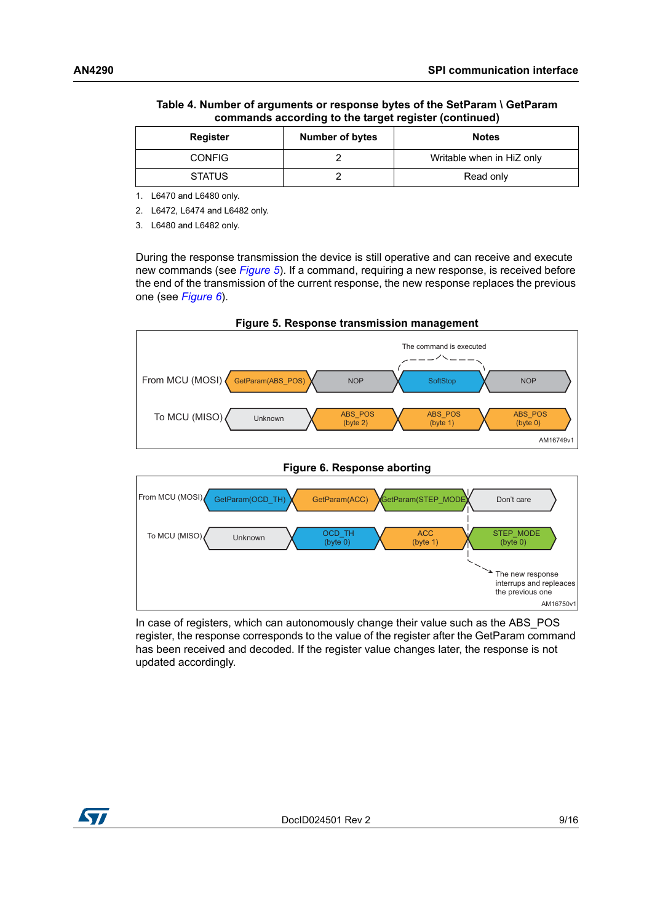| Table 4. Number of arguments or response bytes of the SetParam \        GetParam |
|----------------------------------------------------------------------------------|
| commands according to the target register (continued)                            |

| <b>Register</b> | <b>Number of bytes</b> | <b>Notes</b>              |
|-----------------|------------------------|---------------------------|
| <b>CONFIG</b>   |                        | Writable when in HiZ only |
| <b>STATUS</b>   |                        | Read only                 |

1. L6470 and L6480 only.

2. L6472, L6474 and L6482 only.

3. L6480 and L6482 only.

During the response transmission the device is still operative and can receive and execute new commands (see *[Figure 5](#page-8-0)*). If a command, requiring a new response, is received before the end of the transmission of the current response, the new response replaces the previous one (see *[Figure 6](#page-8-1)*).

<span id="page-8-0"></span>

<span id="page-8-1"></span>

In case of registers, which can autonomously change their value such as the ABS POS register, the response corresponds to the value of the register after the GetParam command has been received and decoded. If the register value changes later, the response is not updated accordingly.

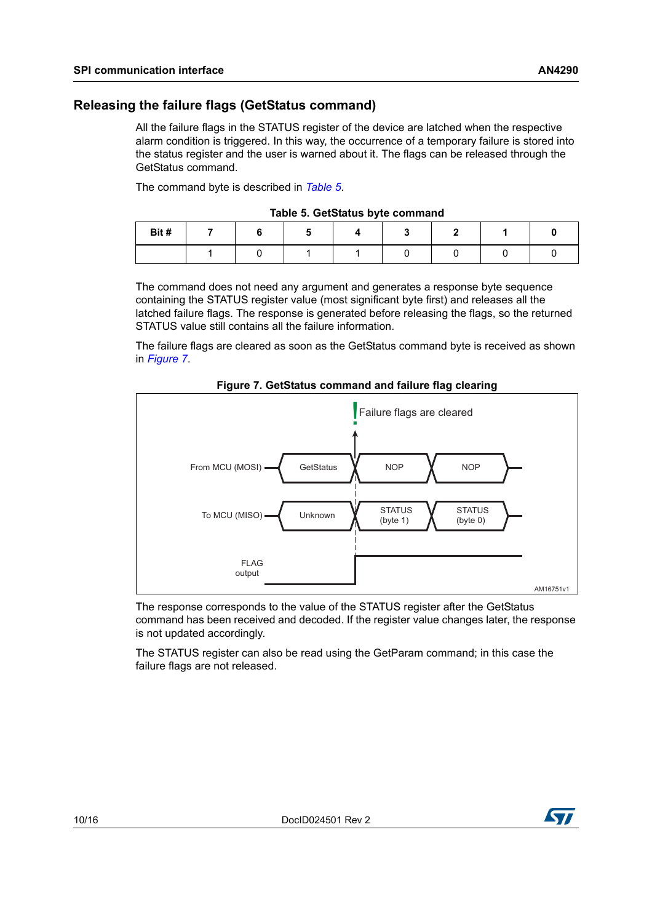#### <span id="page-9-0"></span>**Releasing the failure flags (GetStatus command)**

All the failure flags in the STATUS register of the device are latched when the respective alarm condition is triggered. In this way, the occurrence of a temporary failure is stored into the status register and the user is warned about it. The flags can be released through the GetStatus command.

The command byte is described in *[Table 5](#page-9-1)*.

|  | Table 5. GetStatus byte command |  |  |  |
|--|---------------------------------|--|--|--|
|--|---------------------------------|--|--|--|

<span id="page-9-1"></span>

| Bit# |  |  |  |  |
|------|--|--|--|--|
|      |  |  |  |  |

The command does not need any argument and generates a response byte sequence containing the STATUS register value (most significant byte first) and releases all the latched failure flags. The response is generated before releasing the flags, so the returned STATUS value still contains all the failure information.

The failure flags are cleared as soon as the GetStatus command byte is received as shown in *[Figure 7](#page-9-2)*.

<span id="page-9-2"></span>

**Figure 7. GetStatus command and failure flag clearing**

The response corresponds to the value of the STATUS register after the GetStatus command has been received and decoded. If the register value changes later, the response is not updated accordingly.

The STATUS register can also be read using the GetParam command; in this case the failure flags are not released.

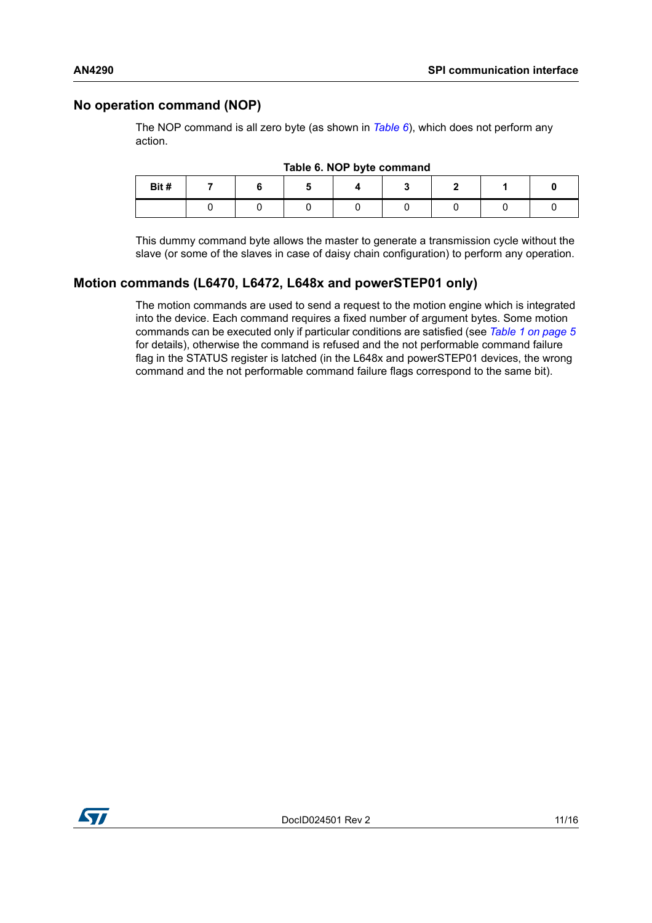#### <span id="page-10-0"></span>**No operation command (NOP)**

The NOP command is all zero byte (as shown in *[Table 6](#page-10-2)*), which does not perform any action.

<span id="page-10-2"></span>

| Bit# |  |  |  |  |
|------|--|--|--|--|
|      |  |  |  |  |

**Table 6. NOP byte command**

This dummy command byte allows the master to generate a transmission cycle without the slave (or some of the slaves in case of daisy chain configuration) to perform any operation.

#### <span id="page-10-1"></span>**Motion commands (L6470, L6472, L648x and powerSTEP01 only)**

The motion commands are used to send a request to the motion engine which is integrated into the device. Each command requires a fixed number of argument bytes. Some motion commands can be executed only if particular conditions are satisfied (see *[Table 1 on page 5](#page-4-0)* for details), otherwise the command is refused and the not performable command failure flag in the STATUS register is latched (in the L648x and powerSTEP01 devices, the wrong command and the not performable command failure flags correspond to the same bit).

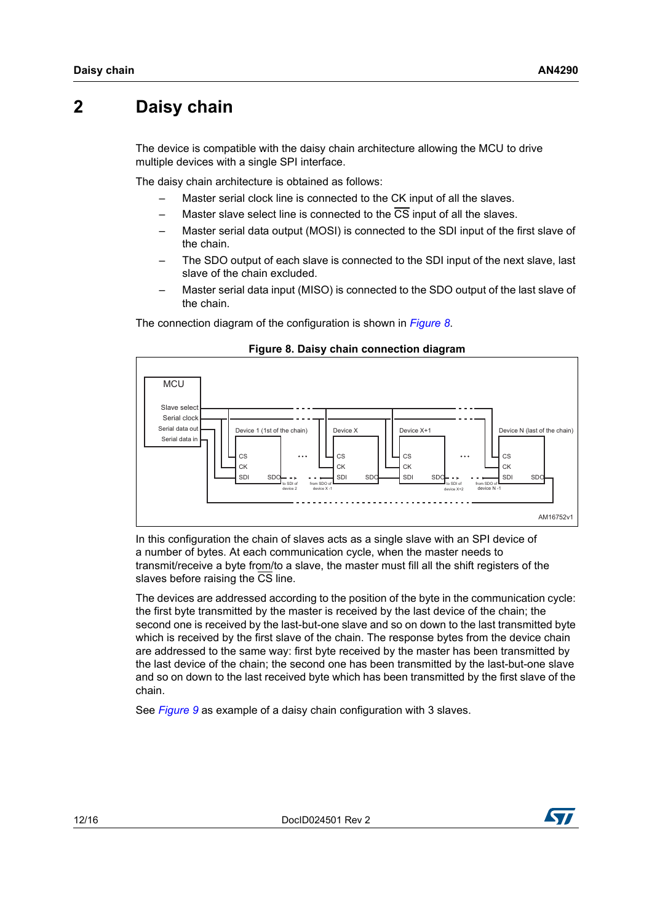### <span id="page-11-0"></span>**2 Daisy chain**

The device is compatible with the daisy chain architecture allowing the MCU to drive multiple devices with a single SPI interface.

The daisy chain architecture is obtained as follows:

- Master serial clock line is connected to the CK input of all the slaves.
- Master slave select line is connected to the  $\overline{\text{CS}}$  input of all the slaves.
- Master serial data output (MOSI) is connected to the SDI input of the first slave of the chain.
- The SDO output of each slave is connected to the SDI input of the next slave, last slave of the chain excluded.
- Master serial data input (MISO) is connected to the SDO output of the last slave of the chain.

The connection diagram of the configuration is shown in *[Figure 8](#page-11-1)*.

<span id="page-11-1"></span>

#### **Figure 8. Daisy chain connection diagram**

In this configuration the chain of slaves acts as a single slave with an SPI device of a number of bytes. At each communication cycle, when the master needs to transmit/receive a byte from/to a slave, the master must fill all the shift registers of the slaves before raising the CS line.

The devices are addressed according to the position of the byte in the communication cycle: the first byte transmitted by the master is received by the last device of the chain; the second one is received by the last-but-one slave and so on down to the last transmitted byte which is received by the first slave of the chain. The response bytes from the device chain are addressed to the same way: first byte received by the master has been transmitted by the last device of the chain; the second one has been transmitted by the last-but-one slave and so on down to the last received byte which has been transmitted by the first slave of the chain.

See *[Figure 9](#page-12-0)* as example of a daisy chain configuration with 3 slaves.

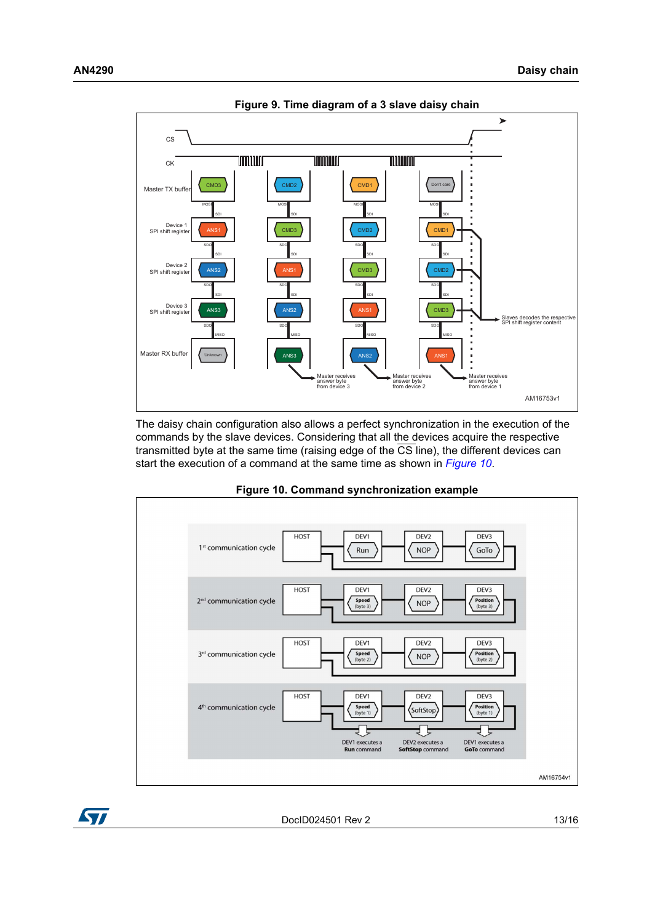<span id="page-12-0"></span>

The daisy chain configuration also allows a perfect synchronization in the execution of the commands by the slave devices. Considering that all the devices acquire the respective transmitted byte at the same time (raising edge of the  $\overline{\text{CS}}$  line), the different devices can start the execution of a command at the same time as shown in *[Figure 10](#page-12-1)*.

<span id="page-12-1"></span>

**Figure 10. Command synchronization example**

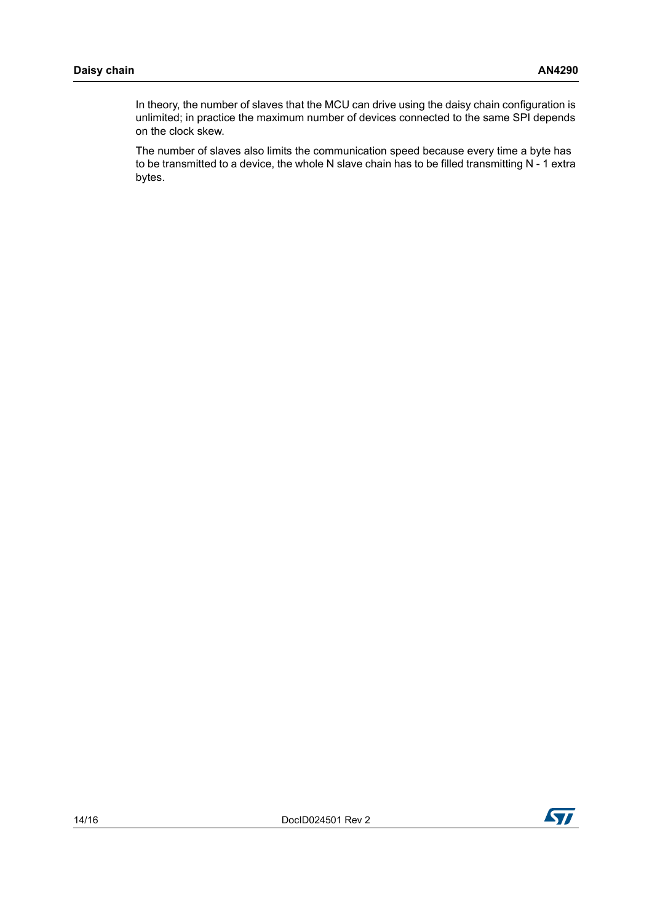In theory, the number of slaves that the MCU can drive using the daisy chain configuration is unlimited; in practice the maximum number of devices connected to the same SPI depends on the clock skew.

The number of slaves also limits the communication speed because every time a byte has to be transmitted to a device, the whole N slave chain has to be filled transmitting N - 1 extra bytes.

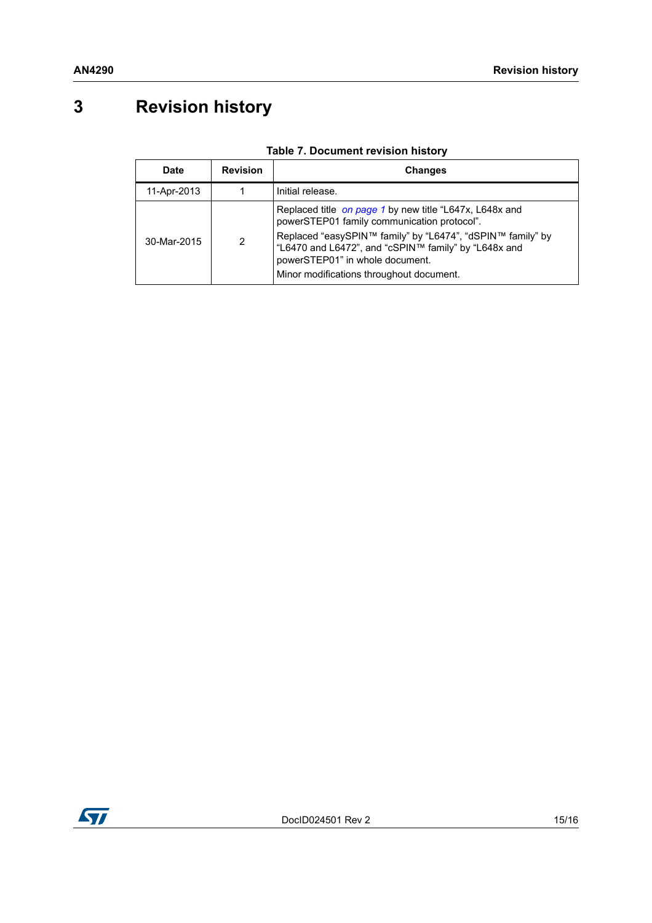## <span id="page-14-0"></span>**3 Revision history**

| <b>Date</b> | <b>Revision</b> | Changes                                                                                                                                                                                                                                                                                                     |
|-------------|-----------------|-------------------------------------------------------------------------------------------------------------------------------------------------------------------------------------------------------------------------------------------------------------------------------------------------------------|
| 11-Apr-2013 |                 | Initial release.                                                                                                                                                                                                                                                                                            |
| 30-Mar-2015 | $\mathcal{P}$   | Replaced title on page 1 by new title "L647x, L648x and<br>powerSTEP01 family communication protocol".<br>Replaced "easySPIN™ family" by "L6474", "dSPIN™ family" by<br>"L6470 and L6472", and "cSPIN™ family" by "L648x and<br>powerSTEP01" in whole document.<br>Minor modifications throughout document. |

#### **Table 7. Document revision history**